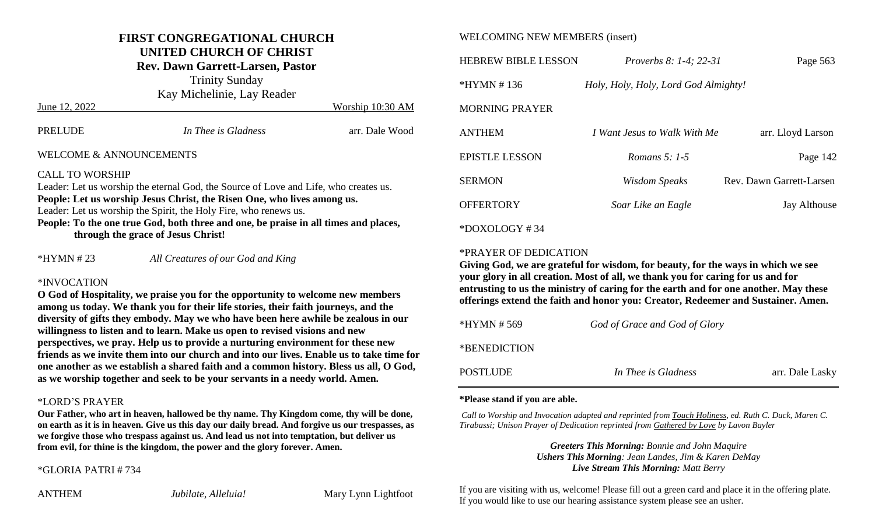#### **FIRST CONGREGATIONAL CHURCH UNITED CHURCH OF CHRIST**

**Rev. Dawn Garrett-Larsen, Pastor**

Trinity Sunday

Kay Michelinie, Lay Reader June 12, 2022 Worship 10:30 AM

| PRELUDE                 | In Thee is Gladness | arr. Dale Wood |
|-------------------------|---------------------|----------------|
| WELCOME & ANNOUNCEMENTS |                     |                |

CALL TO WORSHIP

Leader: Let us worship the eternal God, the Source of Love and Life, who creates us. **People: Let us worship Jesus Christ, the Risen One, who lives among us.**

Leader: Let us worship the Spirit, the Holy Fire, who renews us.

**People: To the one true God, both three and one, be praise in all times and places, through the grace of Jesus Christ!**

\*HYMN # 23 *All Creatures of our God and King*

#### \*INVOCATION

**O God of Hospitality, we praise you for the opportunity to welcome new members among us today. We thank you for their life stories, their faith journeys, and the diversity of gifts they embody. May we who have been here awhile be zealous in our willingness to listen and to learn. Make us open to revised visions and new perspectives, we pray. Help us to provide a nurturing environment for these new friends as we invite them into our church and into our lives. Enable us to take time for one another as we establish a shared faith and a common history. Bless us all, O God, as we worship together and seek to be your servants in a needy world. Amen.** 

#### \*LORD'S PRAYER

**Our Father, who art in heaven, hallowed be thy name. Thy Kingdom come, thy will be done, on earth as it is in heaven. Give us this day our daily bread. And forgive us our trespasses, as we forgive those who trespass against us. And lead us not into temptation, but deliver us from evil, for thine is the kingdom, the power and the glory forever. Amen.**

\*GLORIA PATRI # 734

ANTHEM *Jubilate, Alleluia!* Mary Lynn Lightfoot

#### WELCOMING NEW MEMBERS (insert)

| <b>HEBREW BIBLE LESSON</b> | <i>Proverbs 8: 1-4: 22-31</i>        | Page 563                 |
|----------------------------|--------------------------------------|--------------------------|
| $*HYMN # 136$              | Holy, Holy, Holy, Lord God Almighty! |                          |
| <b>MORNING PRAYER</b>      |                                      |                          |
| <b>ANTHEM</b>              | I Want Jesus to Walk With Me         | arr. Lloyd Larson        |
| <b>EPISTLE LESSON</b>      | Romans 5: $1-5$                      | Page 142                 |
| SERMON                     | <b>Wisdom Speaks</b>                 | Rev. Dawn Garrett-Larsen |
| <b>OFFERTORY</b>           | Soar Like an Eagle                   | Jay Althouse             |
| $*$ DOXOLOGY #34           |                                      |                          |

#### \*PRAYER OF DEDICATION

**Giving God, we are grateful for wisdom, for beauty, for the ways in which we see your glory in all creation. Most of all, we thank you for caring for us and for entrusting to us the ministry of caring for the earth and for one another. May these offerings extend the faith and honor you: Creator, Redeemer and Sustainer. Amen.** 

| *HYMN # 569  | God of Grace and God of Glory |                 |
|--------------|-------------------------------|-----------------|
| *BENEDICTION |                               |                 |
| POSTLUDE     | In Thee is Gladness           | arr. Dale Lasky |

#### **\*Please stand if you are able.**

*Call to Worship and Invocation adapted and reprinted from Touch Holiness, ed. Ruth C. Duck, Maren C. Tirabassi; Unison Prayer of Dedication reprinted from Gathered by Love by Lavon Bayler*

> *Greeters This Morning: Bonnie and John Maquire Ushers This Morning: Jean Landes, Jim & Karen DeMay Live Stream This Morning: Matt Berry*

If you are visiting with us, welcome! Please fill out a green card and place it in the offering plate. If you would like to use our hearing assistance system please see an usher.